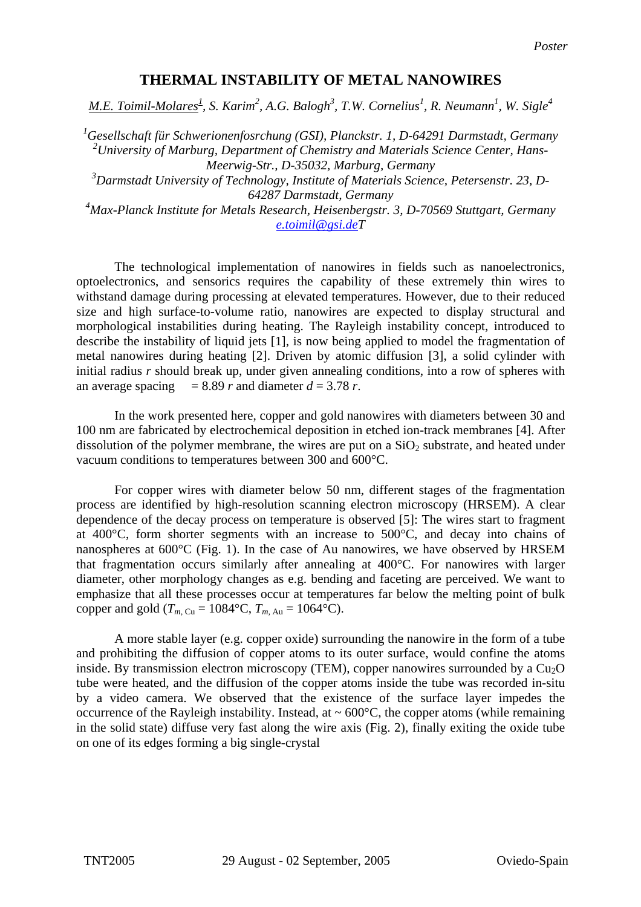## **THERMAL INSTABILITY OF METAL NANOWIRES**

*M.E. Toimil-Molares<sup>1</sup>, S. Karim*<sup>2</sup>, A.G. Balogh<sup>3</sup>, T.W. Cornelius<sup>1</sup>, R. Neumann<sup>1</sup>, W. Sigle<sup>4</sup>

*1 Gesellschaft für Schwerionenfosrchung (GSI), Planckstr. 1, D-64291 Darmstadt, Germany 2 University of Marburg, Department of Chemistry and Materials Science Center, Hans-Meerwig-Str., D-35032, Marburg, Germany* 

*3 Darmstadt University of Technology, Institute of Materials Science, Petersenstr. 23, D-64287 Darmstadt, Germany* 

*4 Max-Planck Institute for Metals Research, Heisenbergstr. 3, D-70569 Stuttgart, Germany [e.toimil@gsi.deT](mailto:e.toimil@gsi.de)*

 The technological implementation of nanowires in fields such as nanoelectronics, optoelectronics, and sensorics requires the capability of these extremely thin wires to withstand damage during processing at elevated temperatures. However, due to their reduced size and high surface-to-volume ratio, nanowires are expected to display structural and morphological instabilities during heating. The Rayleigh instability concept, introduced to describe the instability of liquid jets [1], is now being applied to model the fragmentation of metal nanowires during heating [2]. Driven by atomic diffusion [3], a solid cylinder with initial radius *r* should break up, under given annealing conditions, into a row of spheres with an average spacing  $= 8.89 r$  and diameter  $d = 3.78 r$ .

 In the work presented here, copper and gold nanowires with diameters between 30 and 100 nm are fabricated by electrochemical deposition in etched ion-track membranes [4]. After dissolution of the polymer membrane, the wires are put on a  $SiO<sub>2</sub>$  substrate, and heated under vacuum conditions to temperatures between 300 and 600°C.

 For copper wires with diameter below 50 nm, different stages of the fragmentation process are identified by high-resolution scanning electron microscopy (HRSEM). A clear dependence of the decay process on temperature is observed [5]: The wires start to fragment at 400°C, form shorter segments with an increase to 500°C, and decay into chains of nanospheres at 600°C (Fig. 1). In the case of Au nanowires, we have observed by HRSEM that fragmentation occurs similarly after annealing at 400°C. For nanowires with larger diameter, other morphology changes as e.g. bending and faceting are perceived. We want to emphasize that all these processes occur at temperatures far below the melting point of bulk copper and gold ( $T_{m, Cu} = 1084$ °C,  $T_{m, Au} = 1064$ °C).

 A more stable layer (e.g. copper oxide) surrounding the nanowire in the form of a tube and prohibiting the diffusion of copper atoms to its outer surface, would confine the atoms inside. By transmission electron microscopy (TEM), copper nanowires surrounded by a  $Cu<sub>2</sub>O$ tube were heated, and the diffusion of the copper atoms inside the tube was recorded in-situ by a video camera. We observed that the existence of the surface layer impedes the occurrence of the Rayleigh instability. Instead, at  $\sim 600^{\circ}$ C, the copper atoms (while remaining in the solid state) diffuse very fast along the wire axis (Fig. 2), finally exiting the oxide tube on one of its edges forming a big single-crystal